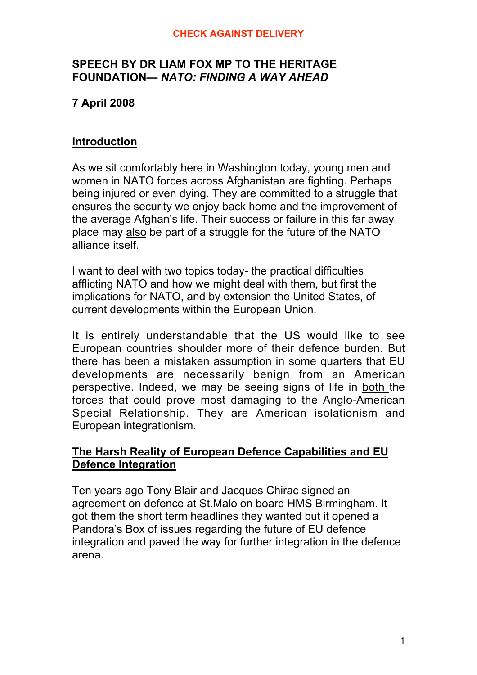#### **CHECK AGAINST DELIVERY**

#### **SPEECH BY DR LIAM FOX MP TO THE HERITAGE FOUNDATION—** *NATO: FINDING A WAY AHEAD*

# **7 April 2008**

#### **Introduction**

As we sit comfortably here in Washington today, young men and women in NATO forces across Afghanistan are fighting. Perhaps being injured or even dying. They are committed to a struggle that ensures the security we enjoy back home and the improvement of the average Afghan's life. Their success or failure in this far away place may also be part of a struggle for the future of the NATO alliance itself.

I want to deal with two topics today- the practical difficulties afflicting NATO and how we might deal with them, but first the implications for NATO, and by extension the United States, of current developments within the European Union.

It is entirely understandable that the US would like to see European countries shoulder more of their defence burden. But there has been a mistaken assumption in some quarters that EU developments are necessarily benign from an American perspective. Indeed, we may be seeing signs of life in both the forces that could prove most damaging to the Anglo-American Special Relationship. They are American isolationism and European integrationism.

## **The Harsh Reality of European Defence Capabilities and EU Defence Integration**

Ten years ago Tony Blair and Jacques Chirac signed an agreement on defence at St.Malo on board HMS Birmingham. It got them the short term headlines they wanted but it opened a Pandora's Box of issues regarding the future of EU defence integration and paved the way for further integration in the defence arena.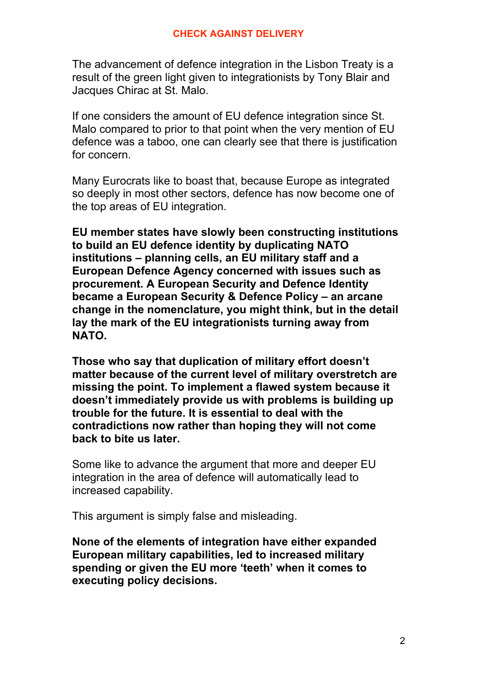The advancement of defence integration in the Lisbon Treaty is a result of the green light given to integrationists by Tony Blair and Jacques Chirac at St. Malo.

If one considers the amount of EU defence integration since St. Malo compared to prior to that point when the very mention of EU defence was a taboo, one can clearly see that there is justification for concern.

Many Eurocrats like to boast that, because Europe as integrated so deeply in most other sectors, defence has now become one of the top areas of EU integration.

**EU member states have slowly been constructing institutions to build an EU defence identity by duplicating NATO institutions – planning cells, an EU military staff and a European Defence Agency concerned with issues such as procurement. A European Security and Defence Identity became a European Security & Defence Policy – an arcane change in the nomenclature, you might think, but in the detail lay the mark of the EU integrationists turning away from NATO.**

**Those who say that duplication of military effort doesn't matter because of the current level of military overstretch are missing the point. To implement a flawed system because it doesn't immediately provide us with problems is building up trouble for the future. It is essential to deal with the contradictions now rather than hoping they will not come back to bite us later.**

Some like to advance the argument that more and deeper EU integration in the area of defence will automatically lead to increased capability.

This argument is simply false and misleading.

**None of the elements of integration have either expanded European military capabilities, led to increased military spending or given the EU more 'teeth' when it comes to executing policy decisions.**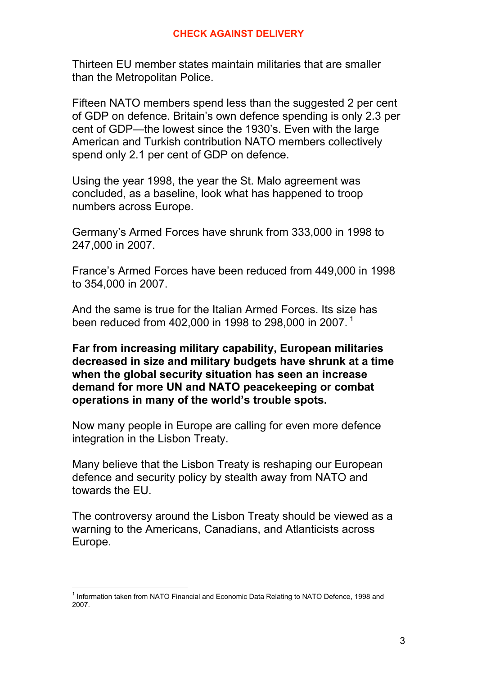Thirteen EU member states maintain militaries that are smaller than the Metropolitan Police.

Fifteen NATO members spend less than the suggested 2 per cent of GDP on defence. Britain's own defence spending is only 2.3 per cent of GDP—the lowest since the 1930's. Even with the large American and Turkish contribution NATO members collectively spend only 2.1 per cent of GDP on defence.

Using the year 1998, the year the St. Malo agreement was concluded, as a baseline, look what has happened to troop numbers across Europe.

Germany's Armed Forces have shrunk from 333,000 in 1998 to 247,000 in 2007.

France's Armed Forces have been reduced from 449,000 in 1998 to 354,000 in 2007.

And the same is true for the Italian Armed Forces. Its size has been reduced from 402,000 in 1998 to 298,000 in 2007.<sup>1</sup>

**Far from increasing military capability, European militaries decreased in size and military budgets have shrunk at a time when the global security situation has seen an increase demand for more UN and NATO peacekeeping or combat operations in many of the world's trouble spots.**

Now many people in Europe are calling for even more defence integration in the Lisbon Treaty.

Many believe that the Lisbon Treaty is reshaping our European defence and security policy by stealth away from NATO and towards the EU.

The controversy around the Lisbon Treaty should be viewed as a warning to the Americans, Canadians, and Atlanticists across Europe.

 $\frac{1}{1}$  $1$  Information taken from NATO Financial and Economic Data Relating to NATO Defence, 1998 and 2007.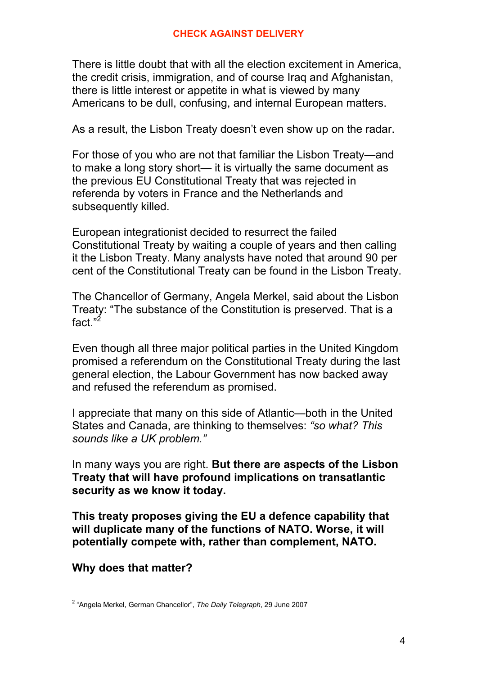There is little doubt that with all the election excitement in America, the credit crisis, immigration, and of course Iraq and Afghanistan, there is little interest or appetite in what is viewed by many Americans to be dull, confusing, and internal European matters.

As a result, the Lisbon Treaty doesn't even show up on the radar.

For those of you who are not that familiar the Lisbon Treaty—and to make a long story short— it is virtually the same document as the previous EU Constitutional Treaty that was rejected in referenda by voters in France and the Netherlands and subsequently killed.

European integrationist decided to resurrect the failed Constitutional Treaty by waiting a couple of years and then calling it the Lisbon Treaty. Many analysts have noted that around 90 per cent of the Constitutional Treaty can be found in the Lisbon Treaty.

The Chancellor of Germany, Angela Merkel, said about the Lisbon Treaty: "The substance of the Constitution is preserved. That is a fact."<sup>2</sup>

Even though all three major political parties in the United Kingdom promised a referendum on the Constitutional Treaty during the last general election, the Labour Government has now backed away and refused the referendum as promised.

I appreciate that many on this side of Atlantic—both in the United States and Canada, are thinking to themselves: *"so what? This sounds like a UK problem."*

In many ways you are right. **But there are aspects of the Lisbon Treaty that will have profound implications on transatlantic security as we know it today.**

**This treaty proposes giving the EU a defence capability that will duplicate many of the functions of NATO. Worse, it will potentially compete with, rather than complement, NATO.**

**Why does that matter?**

 $\overline{2}$ "Angela Merkel, German Chancellor", *The Daily Telegraph*, 29 June 2007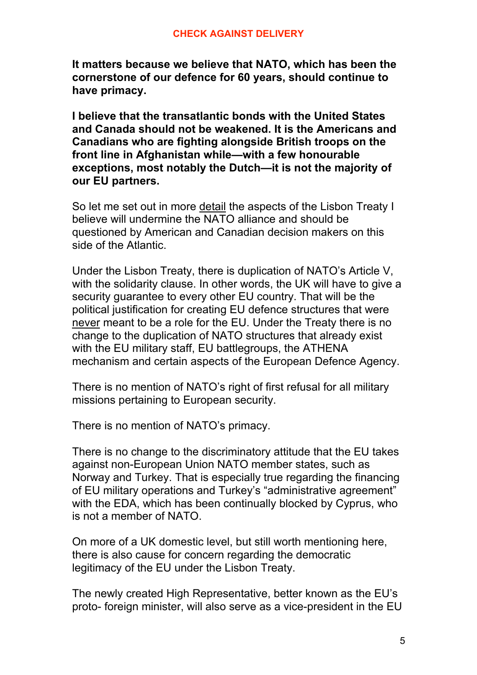**It matters because we believe that NATO, which has been the cornerstone of our defence for 60 years, should continue to have primacy.**

**I believe that the transatlantic bonds with the United States and Canada should not be weakened. It is the Americans and Canadians who are fighting alongside British troops on the front line in Afghanistan while—with a few honourable exceptions, most notably the Dutch—it is not the majority of our EU partners.**

So let me set out in more detail the aspects of the Lisbon Treaty I believe will undermine the NATO alliance and should be questioned by American and Canadian decision makers on this side of the Atlantic.

Under the Lisbon Treaty, there is duplication of NATO's Article V, with the solidarity clause. In other words, the UK will have to give a security guarantee to every other EU country. That will be the political justification for creating EU defence structures that were never meant to be a role for the EU. Under the Treaty there is no change to the duplication of NATO structures that already exist with the EU military staff, EU battlegroups, the ATHENA mechanism and certain aspects of the European Defence Agency.

There is no mention of NATO's right of first refusal for all military missions pertaining to European security.

There is no mention of NATO's primacy.

There is no change to the discriminatory attitude that the EU takes against non-European Union NATO member states, such as Norway and Turkey. That is especially true regarding the financing of EU military operations and Turkey's "administrative agreement" with the EDA, which has been continually blocked by Cyprus, who is not a member of NATO.

On more of a UK domestic level, but still worth mentioning here, there is also cause for concern regarding the democratic legitimacy of the EU under the Lisbon Treaty.

The newly created High Representative, better known as the EU's proto- foreign minister, will also serve as a vice-president in the EU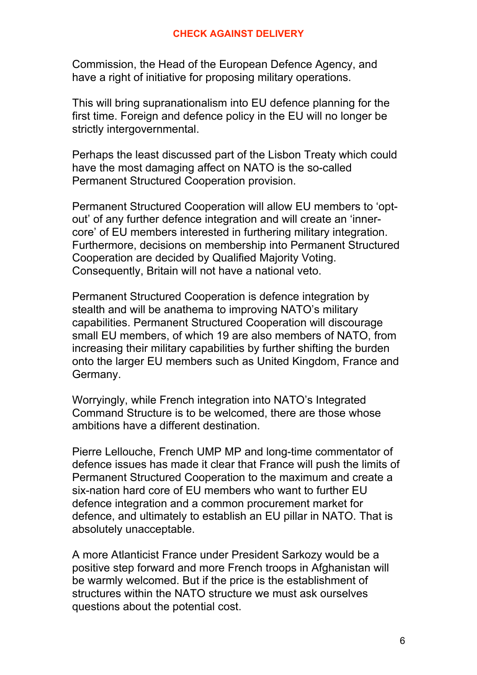#### **CHECK AGAINST DELIVERY**

Commission, the Head of the European Defence Agency, and have a right of initiative for proposing military operations.

This will bring supranationalism into EU defence planning for the first time. Foreign and defence policy in the EU will no longer be strictly intergovernmental.

Perhaps the least discussed part of the Lisbon Treaty which could have the most damaging affect on NATO is the so-called Permanent Structured Cooperation provision.

Permanent Structured Cooperation will allow EU members to 'optout' of any further defence integration and will create an 'innercore' of EU members interested in furthering military integration. Furthermore, decisions on membership into Permanent Structured Cooperation are decided by Qualified Majority Voting. Consequently, Britain will not have a national veto.

Permanent Structured Cooperation is defence integration by stealth and will be anathema to improving NATO's military capabilities. Permanent Structured Cooperation will discourage small EU members, of which 19 are also members of NATO, from increasing their military capabilities by further shifting the burden onto the larger EU members such as United Kingdom, France and Germany.

Worryingly, while French integration into NATO's Integrated Command Structure is to be welcomed, there are those whose ambitions have a different destination.

Pierre Lellouche, French UMP MP and long-time commentator of defence issues has made it clear that France will push the limits of Permanent Structured Cooperation to the maximum and create a six-nation hard core of EU members who want to further EU defence integration and a common procurement market for defence, and ultimately to establish an EU pillar in NATO. That is absolutely unacceptable.

A more Atlanticist France under President Sarkozy would be a positive step forward and more French troops in Afghanistan will be warmly welcomed. But if the price is the establishment of structures within the NATO structure we must ask ourselves questions about the potential cost.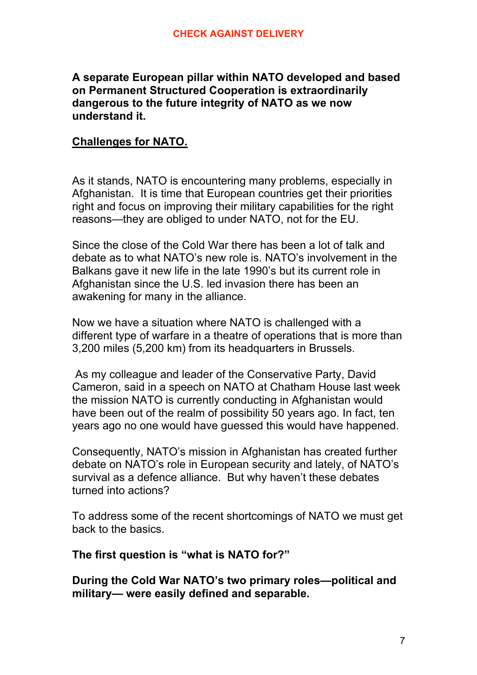### **A separate European pillar within NATO developed and based on Permanent Structured Cooperation is extraordinarily dangerous to the future integrity of NATO as we now understand it.**

## **Challenges for NATO.**

As it stands, NATO is encountering many problems, especially in Afghanistan. It is time that European countries get their priorities right and focus on improving their military capabilities for the right reasons—they are obliged to under NATO, not for the EU.

Since the close of the Cold War there has been a lot of talk and debate as to what NATO's new role is. NATO's involvement in the Balkans gave it new life in the late 1990's but its current role in Afghanistan since the U.S. led invasion there has been an awakening for many in the alliance.

Now we have a situation where NATO is challenged with a different type of warfare in a theatre of operations that is more than 3,200 miles (5,200 km) from its headquarters in Brussels.

 As my colleague and leader of the Conservative Party, David Cameron, said in a speech on NATO at Chatham House last week the mission NATO is currently conducting in Afghanistan would have been out of the realm of possibility 50 years ago. In fact, ten years ago no one would have guessed this would have happened.

Consequently, NATO's mission in Afghanistan has created further debate on NATO's role in European security and lately, of NATO's survival as a defence alliance. But why haven't these debates turned into actions?

To address some of the recent shortcomings of NATO we must get back to the basics.

**The first question is "what is NATO for?"**

**During the Cold War NATO's two primary roles—political and military— were easily defined and separable.**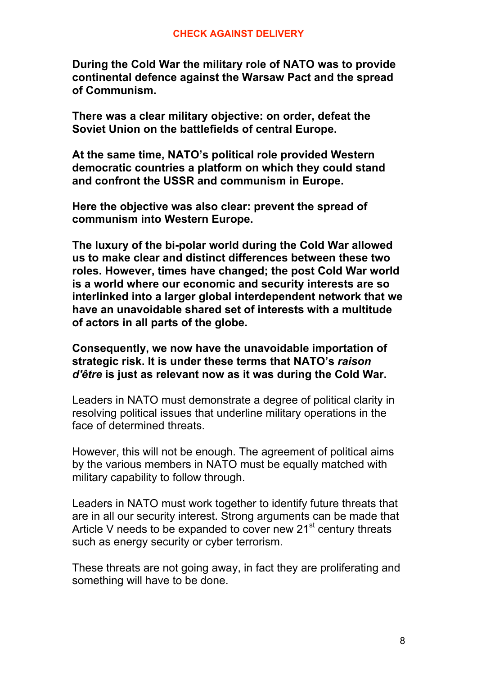**During the Cold War the military role of NATO was to provide continental defence against the Warsaw Pact and the spread of Communism.**

**There was a clear military objective: on order, defeat the Soviet Union on the battlefields of central Europe.**

**At the same time, NATO's political role provided Western democratic countries a platform on which they could stand and confront the USSR and communism in Europe.**

**Here the objective was also clear: prevent the spread of communism into Western Europe.**

**The luxury of the bi-polar world during the Cold War allowed us to make clear and distinct differences between these two roles. However, times have changed; the post Cold War world is a world where our economic and security interests are so interlinked into a larger global interdependent network that we have an unavoidable shared set of interests with a multitude of actors in all parts of the globe.**

**Consequently, we now have the unavoidable importation of strategic risk. It is under these terms that NATO's** *raison d'être* **is just as relevant now as it was during the Cold War.**

Leaders in NATO must demonstrate a degree of political clarity in resolving political issues that underline military operations in the face of determined threats.

However, this will not be enough. The agreement of political aims by the various members in NATO must be equally matched with military capability to follow through.

Leaders in NATO must work together to identify future threats that are in all our security interest. Strong arguments can be made that Article V needs to be expanded to cover new  $21<sup>st</sup>$  century threats such as energy security or cyber terrorism.

These threats are not going away, in fact they are proliferating and something will have to be done.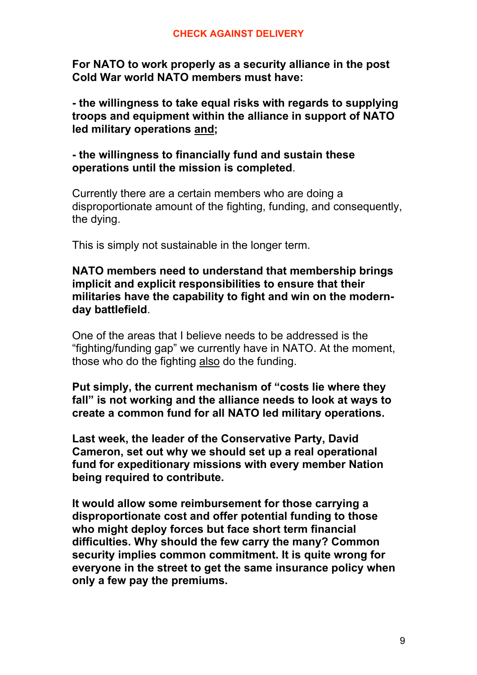**For NATO to work properly as a security alliance in the post Cold War world NATO members must have:**

**- the willingness to take equal risks with regards to supplying troops and equipment within the alliance in support of NATO led military operations and;**

**- the willingness to financially fund and sustain these operations until the mission is completed**.

Currently there are a certain members who are doing a disproportionate amount of the fighting, funding, and consequently, the dying.

This is simply not sustainable in the longer term.

**NATO members need to understand that membership brings implicit and explicit responsibilities to ensure that their militaries have the capability to fight and win on the modernday battlefield**.

One of the areas that I believe needs to be addressed is the "fighting/funding gap" we currently have in NATO. At the moment, those who do the fighting also do the funding.

**Put simply, the current mechanism of "costs lie where they fall" is not working and the alliance needs to look at ways to create a common fund for all NATO led military operations.**

**Last week, the leader of the Conservative Party, David Cameron, set out why we should set up a real operational fund for expeditionary missions with every member Nation being required to contribute.**

**It would allow some reimbursement for those carrying a disproportionate cost and offer potential funding to those who might deploy forces but face short term financial difficulties. Why should the few carry the many? Common security implies common commitment. It is quite wrong for everyone in the street to get the same insurance policy when only a few pay the premiums.**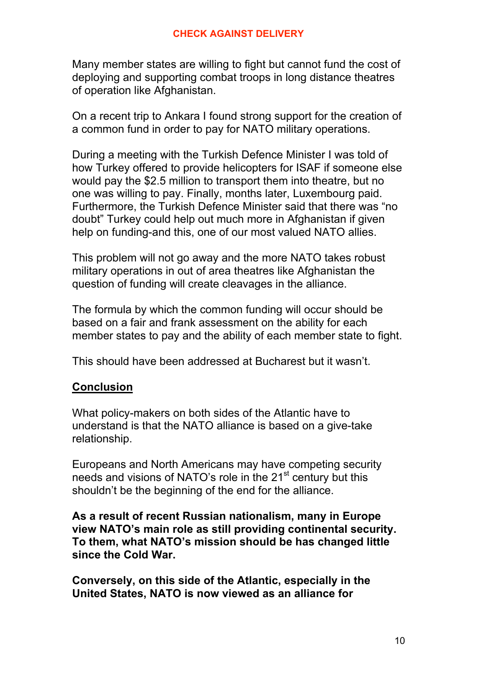Many member states are willing to fight but cannot fund the cost of deploying and supporting combat troops in long distance theatres of operation like Afghanistan.

On a recent trip to Ankara I found strong support for the creation of a common fund in order to pay for NATO military operations.

During a meeting with the Turkish Defence Minister I was told of how Turkey offered to provide helicopters for ISAF if someone else would pay the \$2.5 million to transport them into theatre, but no one was willing to pay. Finally, months later, Luxembourg paid. Furthermore, the Turkish Defence Minister said that there was "no doubt" Turkey could help out much more in Afghanistan if given help on funding-and this, one of our most valued NATO allies.

This problem will not go away and the more NATO takes robust military operations in out of area theatres like Afghanistan the question of funding will create cleavages in the alliance.

The formula by which the common funding will occur should be based on a fair and frank assessment on the ability for each member states to pay and the ability of each member state to fight.

This should have been addressed at Bucharest but it wasn't.

## **Conclusion**

What policy-makers on both sides of the Atlantic have to understand is that the NATO alliance is based on a give-take relationship.

Europeans and North Americans may have competing security needs and visions of NATO's role in the 21<sup>st</sup> century but this shouldn't be the beginning of the end for the alliance.

**As a result of recent Russian nationalism, many in Europe view NATO's main role as still providing continental security. To them, what NATO's mission should be has changed little since the Cold War.**

**Conversely, on this side of the Atlantic, especially in the United States, NATO is now viewed as an alliance for**